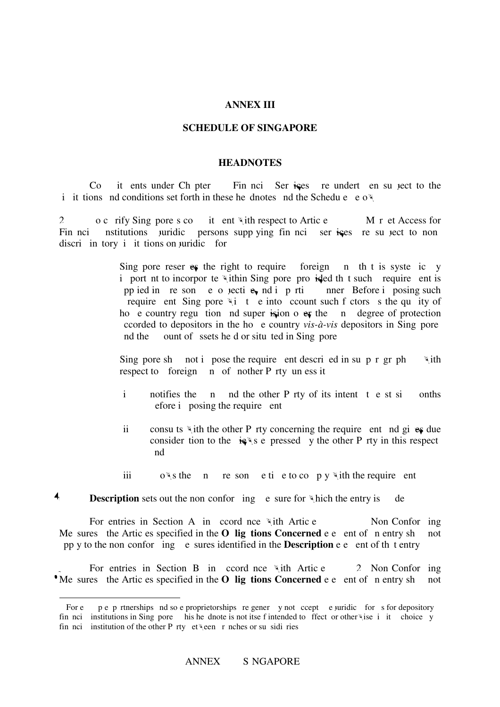### **ANNEX III**

#### **SCHEDULE OF SINGAPORE**

#### **HEADNOTES**

Co it ents under Ch pter 11 Fin nci Services is required to the 11 (Financial Services) and subject to the i it tions and conditions set forth in these headnotes and the Schedule  $\mathbf{e} \cdot \mathbf{o} \mathbf{w}$ .

2 o c rify Sing pore s commitment with respect to Article 11.5(b) M r et Access for Fin nci nstitutions unidic persons supplying fin nci services re su ject to nondiscriminatory in it tions on juridical form.

> Sing pore reserves the right to require foreign  $\pi$  that is systemically i port nt to incorpor te within Sing pore, provided that such requirement is pp ied in resone objective, not in primarily manner. Before inposing such posing such require ent Sing pore  $\forall i$  t e into count such f ctors s the quality of ho e country regulation and super is significantly over the band degree of protection corded to depositors in the home country *vis-à-vis* depositors in Sing pore nd the ount of ssets held or situated in Singapore.

> Sing pore shall not impose the requirement described in subparagraph  $\forall$  ith respect to foreign  $n$  of nother P rty un ess it

- $i$  notifies the n nd the other P rty of its intent t e st si onths efore i posing the require ent
- ii consults with the other P rty concerning the requirement and gives due consider tion to the  $i \in \mathbb{N}$  see pressed v the other P rty in this respect and
- iii ows the n resonetie to comply with the requirement.

## **4 Description** sets out the non-conforming equal measure for which the entry is de.

l

5. For entries in Section A, in accordance with Article 11.10.1(a) (Non-Conforming Me sures the Articles specified in the **O** lig tions Concerned e e ent of n entry shall not pp y to the non-conforeding estimate in the **Description** e elect of that entry.

For entries in Section B, in coording with Article 2. Non-Conforming <sup>•</sup> Me sures the Artic es specified in the **O** lig tions Concerned e e ent of n entry shall not

For e pertnerships and sole proprietorships regener y not ccept e juridical forms for depository fin nci institutions in Sing pore his headnote is not itself intended to affect or other wise i it choice y fin nci institution of the other P rty et \een r nches or su sidi ries.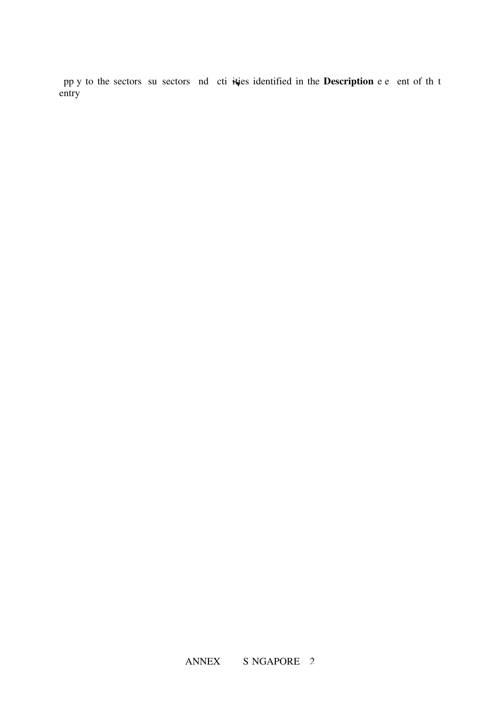pp y to the sectors su sectors and ctivities identified in the **Description** e e ent of that entry.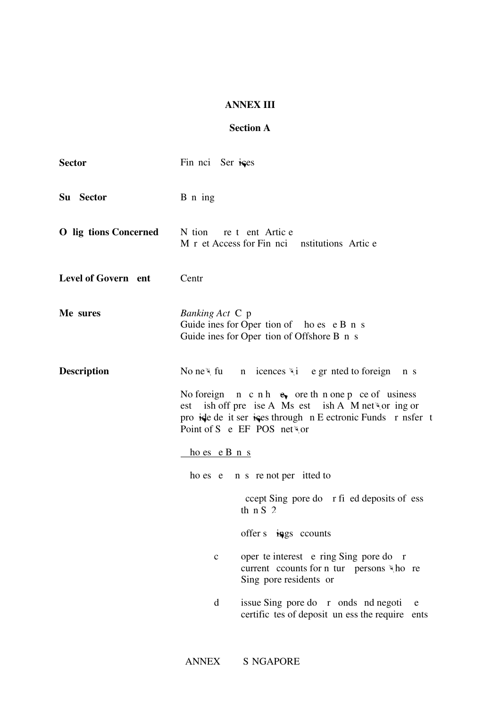## **ANNEX III**

# **Section A**

| <b>Sector</b>                | Fin noi Ser ises                                                                                                                                                                                                                                                                                                  |
|------------------------------|-------------------------------------------------------------------------------------------------------------------------------------------------------------------------------------------------------------------------------------------------------------------------------------------------------------------|
| Su Sector                    | B n ing                                                                                                                                                                                                                                                                                                           |
| <b>O</b> lig tions Concerned | N tion re t ent Artic e<br>M r et Access for Fin noi nstitutions Artic e                                                                                                                                                                                                                                          |
| Level of Govern ent          | Centr                                                                                                                                                                                                                                                                                                             |
| Me sures                     | <i>Banking Act</i> C p<br>Guide ines for Oper tion of ho es e B n s<br>Guide ines for Oper tion of Offshore B n s                                                                                                                                                                                                 |
| <b>Description</b>           | No ne $\forall$ fu n icences $\forall$ i e gr nted to foreign<br>n s<br>No foreign $n \, c \, n \, h \, e_{\nu}$ ore then one p ce of usiness<br>ish off pre ise A Ms est ish A M networ ing or<br>est<br>pro ide de it ser ices through n E ectronic Funds r nsfer t<br>Point of S e EF POS net                  |
|                              | $ho$ es e B n s<br>ho es e n s re not per itted to                                                                                                                                                                                                                                                                |
|                              | ccept Sing pore do r fi ed deposits of ess<br>th $nS2$                                                                                                                                                                                                                                                            |
|                              | offer $s$ in gs counts                                                                                                                                                                                                                                                                                            |
|                              | oper te interest e ring Sing pore do r<br>$\mathbf c$<br>current counts for n tur persons \\times\,\times\,\times\,\times\,\times\,\times\,\times\,\times\,\times\,\times\,\times\,\times\,\times\,\times\,\times\,\times\,\times\,\times\,\times\,\times\,\times\,\times\,\times\,\tim<br>Sing pore residents or |
|                              | d<br>issue Sing pore do r onds nd negoti<br>e<br>certific tes of deposit un ess the require<br>ents                                                                                                                                                                                                               |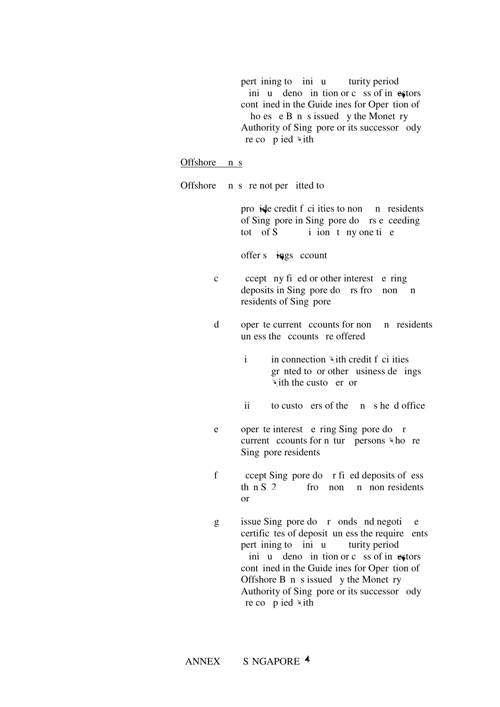pert ining to ini u turity period ini u deno in tion or c ss of investors cont ined in the Guide ines for Oper tion of ho es  $e$  B n s issued y the Monet ry Authority of Sing pore or its successor ody re cop ied with.

### Offshore n s

Offshore  $\overline{a}$  n s re not per itted to:

pro $\mathbf{\dot{a}}$  be credit f ci ities to non-bank residents of Sing pore in Sing pore do rs e ceeding tot of  $S$  i ion t ny one tie

offer s  $\frac{1}{2}$  in pages count

- $\text{c}$  ccept ny fi ed or other interest e ring deposits in Sing pore do  $rs$  from nonresidents of Sing pore
- d oper te current ccounts for non n residents un ess the counts re offered
	- $i$  in connection with credit f ci ities gr nted to or other usiness de ings  $\ddot{ }$  ith the custoer or
	- $\frac{1}{1}$  to customers of the bank head office
- e oper te interest e ring Sing pore do r current counts for n tur persons  $\forall$  ho re Sing pore residents
- f ccept Sing pore do r fi ed deposits of ess then S 2  $\frac{5}{5}$  from non-residents  $\alpha$ r
- $g$  issue Sing pore do r onds nd negoti e certific tes of deposit, unless the requirements pert ining to ini u turity period ini u deno in tion or c ss of investors cont ined in the Guide ines for Oper tion of Offshore  $B$  n s issued y the Monet ry Authority of Sing pore or its successor ody re co $p$  ied with.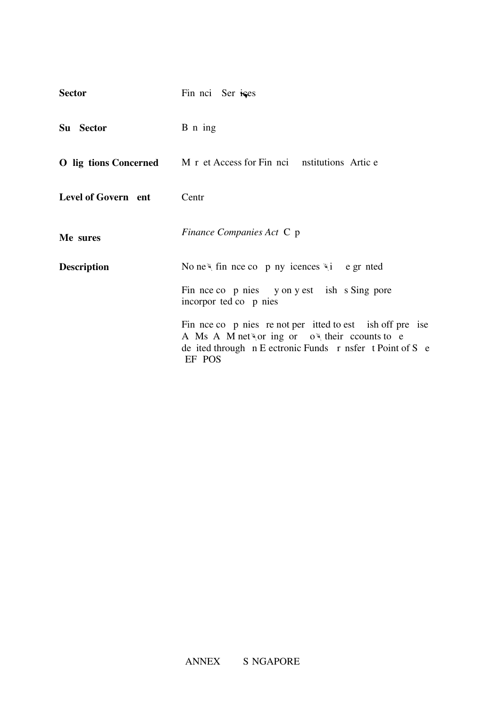| <b>Sector</b>       | Fin nci Ser ises                                                                                                                                                                                    |
|---------------------|-----------------------------------------------------------------------------------------------------------------------------------------------------------------------------------------------------|
| Su Sector           | B n ing                                                                                                                                                                                             |
|                     | <b>O</b> lig tions Concerned M r et Access for Fin nci nstitutions Artic e                                                                                                                          |
| Level of Govern ent | Centr                                                                                                                                                                                               |
| Me sures            | <i>Finance Companies Act</i> C p                                                                                                                                                                    |
| <b>Description</b>  | No ne <sup><math>\psi</math></sup> fin nce co p ny icences $\psi$ i e gr nted                                                                                                                       |
|                     | Fin nce co p nies y on y est ish s Sing pore<br>incorpor ted co p nies                                                                                                                              |
|                     | Fin nce co p nies re not per itted to est ish off pre ise<br>A Ms A M networ ing or $o^{\psi}$ their counts to e<br>de ited through $n \to e^{i\pi}$ Euronic Funds r nsfer t Point of S e<br>EF POS |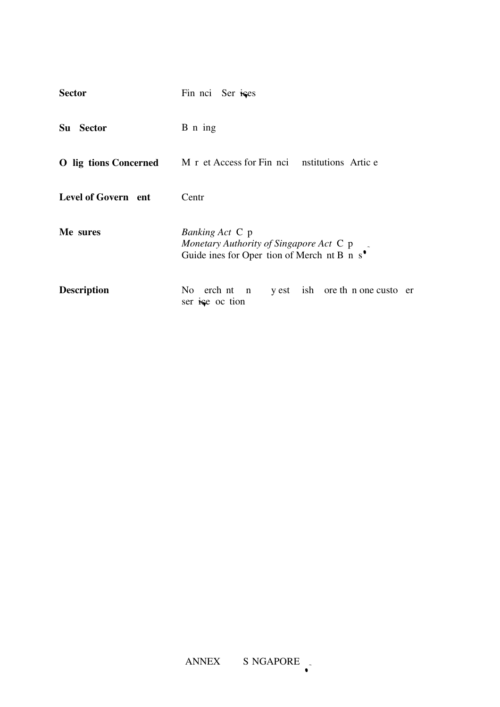| <b>Sector</b>       | Fin noi Ser ises                                                                                                            |  |  |  |
|---------------------|-----------------------------------------------------------------------------------------------------------------------------|--|--|--|
| Su Sector           | $B$ n ing                                                                                                                   |  |  |  |
|                     | <b>O</b> lig tions Concerned M r et Access for Fin nci nstitutions Artic e                                                  |  |  |  |
| Level of Govern ent | Centr                                                                                                                       |  |  |  |
| Me sures            | <i>Banking Act</i> C p<br>Monetary Authority of Singapore Act C p<br>Guide ines for Oper tion of Merch nt B n $s^{\bullet}$ |  |  |  |
| <b>Description</b>  | No erch nt n<br>y est ish ore th n one custo er<br>ser is e oc tion                                                         |  |  |  |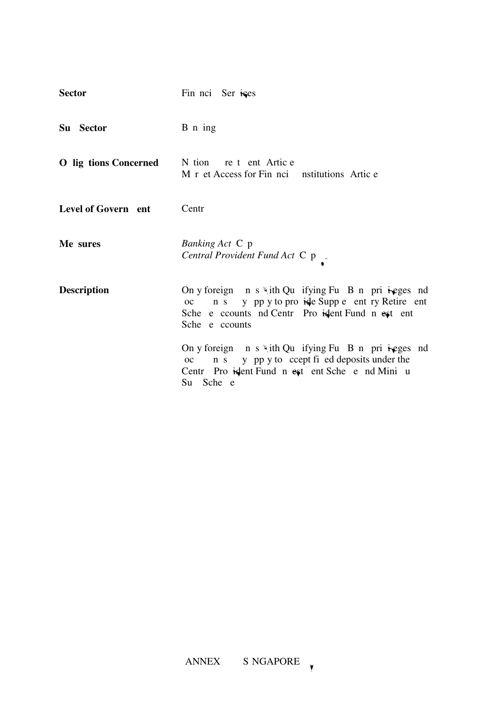| <b>Sector</b>                                        | Fin noi Ser ises                                                                                                                                                                        |
|------------------------------------------------------|-----------------------------------------------------------------------------------------------------------------------------------------------------------------------------------------|
| Su Sector                                            | B n ing                                                                                                                                                                                 |
| <b>O</b> lig tions Concerned N tion re t ent Artic e | M r et Access for Fin noi nstitutions Artic e                                                                                                                                           |
| Level of Govern ent                                  | Centr                                                                                                                                                                                   |
| Me sures                                             | Banking Act C p<br>Central Provident Fund Act C p _                                                                                                                                     |
| <b>Description</b>                                   | On y foreign $n s$ with Qu if ying Fu B n pri is equivenently<br>oc n s y pp y to pro ide Supp e ent ry Retire ent<br>Sche e counts nd Centr Pro ident Fund n est ent<br>Sche e counts  |
|                                                      | On y foreign $n s$ with Qu if ying Fu B n pri is equivenently<br>y pp y to ccept fi ed deposits under the<br>n s<br>OC<br>Centr Pro istent Fund n est ent Sche e nd Mini u<br>Su Sche e |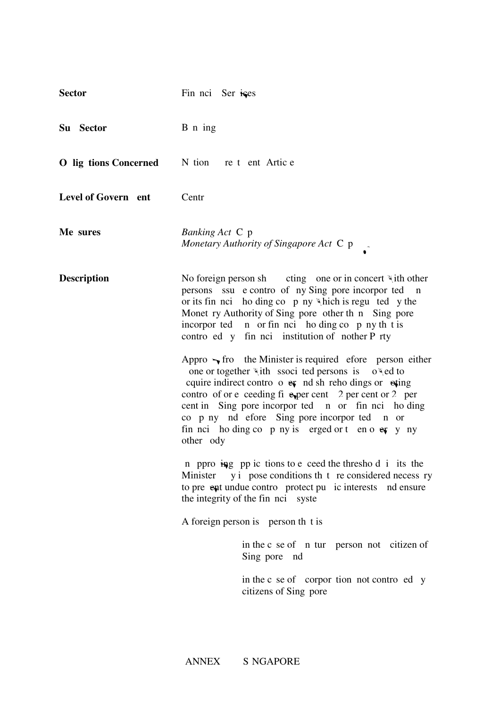| <b>Sector</b>         | Fin noi Ser ises                                                                                                                                                                                                                                                                                                                                                                                                                                                                                                                                                                                                                                                                                                                                                                                                                                                                                                                                                                                                                                                                                                                                                                                                   |
|-----------------------|--------------------------------------------------------------------------------------------------------------------------------------------------------------------------------------------------------------------------------------------------------------------------------------------------------------------------------------------------------------------------------------------------------------------------------------------------------------------------------------------------------------------------------------------------------------------------------------------------------------------------------------------------------------------------------------------------------------------------------------------------------------------------------------------------------------------------------------------------------------------------------------------------------------------------------------------------------------------------------------------------------------------------------------------------------------------------------------------------------------------------------------------------------------------------------------------------------------------|
| Su Sector             | B n ing                                                                                                                                                                                                                                                                                                                                                                                                                                                                                                                                                                                                                                                                                                                                                                                                                                                                                                                                                                                                                                                                                                                                                                                                            |
| O lig tions Concerned | N tion re t ent Artic e                                                                                                                                                                                                                                                                                                                                                                                                                                                                                                                                                                                                                                                                                                                                                                                                                                                                                                                                                                                                                                                                                                                                                                                            |
| Level of Govern ent   | Centr                                                                                                                                                                                                                                                                                                                                                                                                                                                                                                                                                                                                                                                                                                                                                                                                                                                                                                                                                                                                                                                                                                                                                                                                              |
| Me sures              | <i>Banking Act</i> C p<br>Monetary Authority of Singapore Act C p                                                                                                                                                                                                                                                                                                                                                                                                                                                                                                                                                                                                                                                                                                                                                                                                                                                                                                                                                                                                                                                                                                                                                  |
| <b>Description</b>    | No foreign person she ting one or in concert with other<br>persons ssu e contro of ny Sing pore incorpor ted<br>$\mathbf n$<br>or its fin nci ho ding co $p$ ny \\tich is regu ted y the<br>Monet ry Authority of Sing pore other th n Sing pore<br>incorpor ted n or fin nci ho ding co p ny th t is<br>contro ed y fin nci institution of nother P rty<br>Appro $\rightarrow$ fro the Minister is required efore person either<br>one or together "ith ssoci ted persons is<br>$o$ \ ed to<br>cquire indirect contro $\circ$ ex nd sh reho dings or $\circ$ exting<br>contro of or e ceeding fi experient 2 per cent or 2 per<br>cent in Sing pore incorpor ted n or fin nci ho ding<br>co p ny nd efore Sing pore incorpor ted n or<br>fin noi ho ding co p ny is erged or t en o $erg$ y ny<br>other ody<br>n ppro ing pp ic tions to e ceed the thresho d i its the<br>Minister y i pose conditions th t reconsidered necess ry<br>to pre ent undue contro protect pu ic interests nd ensure<br>the integrity of the fin nci syste<br>A foreign person is person th t is<br>in the c se of n tur person not citizen of<br>Sing pore nd<br>in the c se of corpor tion not contro ed y<br>citizens of Sing pore |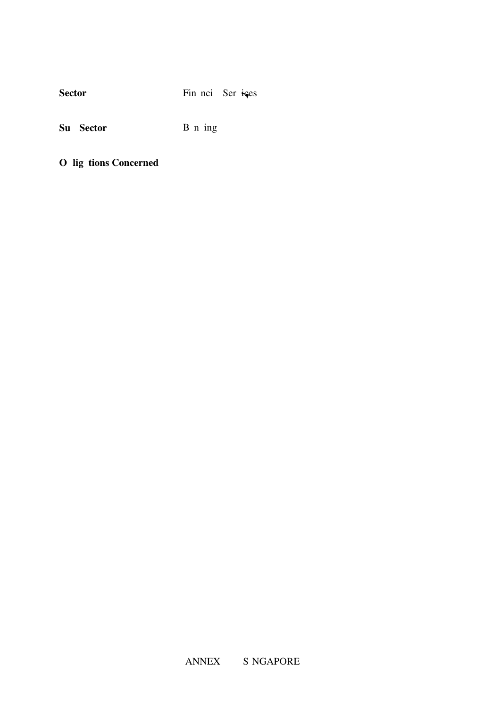| <b>Sector</b> | Fin noi Ser ises |
|---------------|------------------|
|               |                  |

Su Sector **B** n ing

**O** lig tions Concerned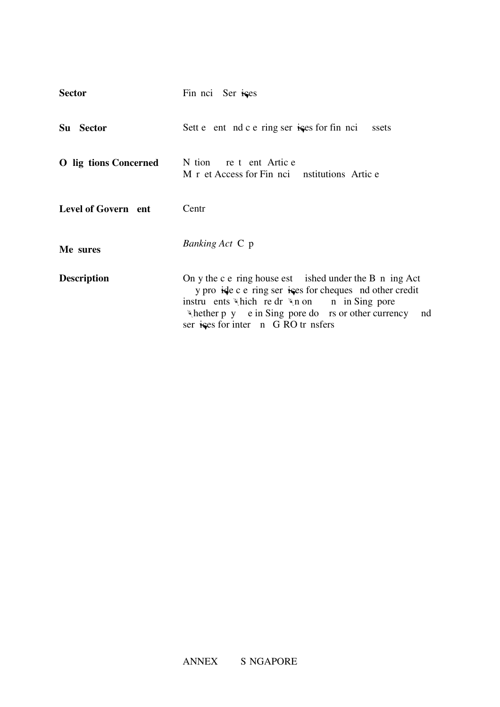| <b>Sector</b>         | Fin noi Ser ises                                                                                                                                                                                                                                                              |
|-----------------------|-------------------------------------------------------------------------------------------------------------------------------------------------------------------------------------------------------------------------------------------------------------------------------|
| Su Sector             | Sett e ent nd c e ring ser is es for fin nci<br>ssets                                                                                                                                                                                                                         |
| O lig tions Concerned | N tion re t ent Artic e<br>M r et Access for Fin noi nstitutions Artic e                                                                                                                                                                                                      |
| Level of Govern ent   | Centr                                                                                                                                                                                                                                                                         |
| Me sures              | <i>Banking Act</i> C p                                                                                                                                                                                                                                                        |
| <b>Description</b>    | On y the c $e$ ring house est ished under the $B$ n ing Act<br>y pro ide c e ring ser is es for cheques nd other credit<br>instruents which redr wn on in Sing pore<br>$\forall$ hether p y e in Sing pore do rs or other currency<br>nd<br>ser is for inter n G RO tr nsfers |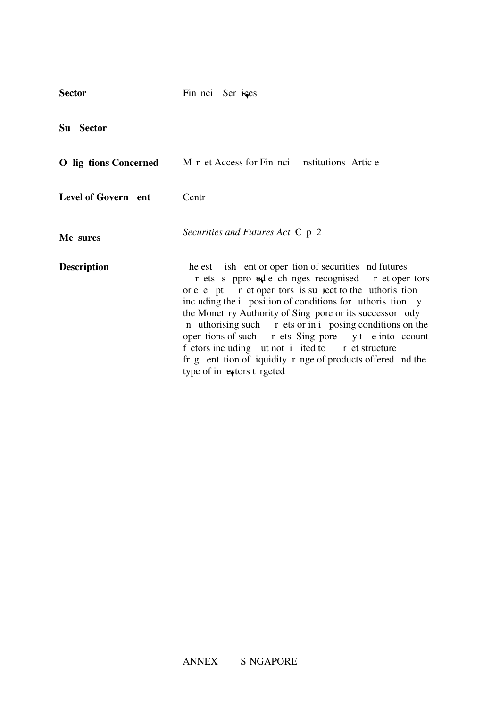| <b>Sector</b>         | Fin noi Ser ises                                                                                                                                                                                                                                                                                                                                                                                                                                                                                                                                                                  |
|-----------------------|-----------------------------------------------------------------------------------------------------------------------------------------------------------------------------------------------------------------------------------------------------------------------------------------------------------------------------------------------------------------------------------------------------------------------------------------------------------------------------------------------------------------------------------------------------------------------------------|
| Su Sector             |                                                                                                                                                                                                                                                                                                                                                                                                                                                                                                                                                                                   |
| O lig tions Concerned | M r et Access for Fin noi nstitutions Artic e                                                                                                                                                                                                                                                                                                                                                                                                                                                                                                                                     |
| Level of Govern ent   | Centr                                                                                                                                                                                                                                                                                                                                                                                                                                                                                                                                                                             |
| Me sures              | Securities and Futures Act $C$ $p$ 2                                                                                                                                                                                                                                                                                                                                                                                                                                                                                                                                              |
| <b>Description</b>    | he est ish ent or oper tion of securities nd futures<br>r ets s ppro ed e ch nges recognised r et oper tors<br>or e e pt r et oper tors is su <i>ject</i> to the uthoris tion<br>inc uding the <i>i</i> position of conditions for uthoris tion y<br>the Monet ry Authority of Sing pore or its successor ody<br>n uthorising such r ets or in i posing conditions on the<br>oper tions of such r ets Sing pore y t e into count<br>f ctors inc uding ut not i ited to r et structure<br>fr g ent tion of iquidity r nge of products offered nd the<br>type of in estors t rgeted |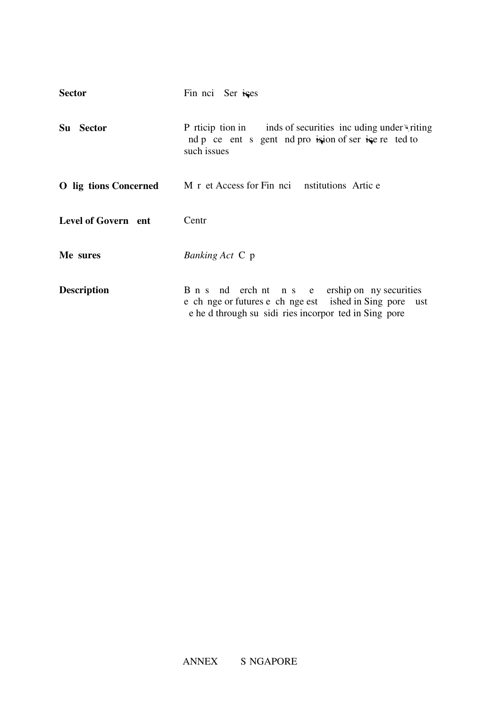| <b>Sector</b>         | Fin noi Ser ises                                                                                                                                                   |
|-----------------------|--------------------------------------------------------------------------------------------------------------------------------------------------------------------|
| Su Sector             | P rticip tion in inds of securities inc uding under $\forall$ riting<br>nd p ce ent s gent nd pro isjon of ser is e re ted to<br>such issues                       |
| O lig tions Concerned | M r et Access for Fin noi nstitutions Artic e                                                                                                                      |
| Level of Govern ent   | Centr                                                                                                                                                              |
| Me sures              | <i>Banking Act</i> C p                                                                                                                                             |
| <b>Description</b>    | B n s nd erch nt n s e ership on ny securities<br>e ch nge or futures e ch nge est ished in Sing pore ust<br>e he d through su sidi ries incorpor ted in Sing pore |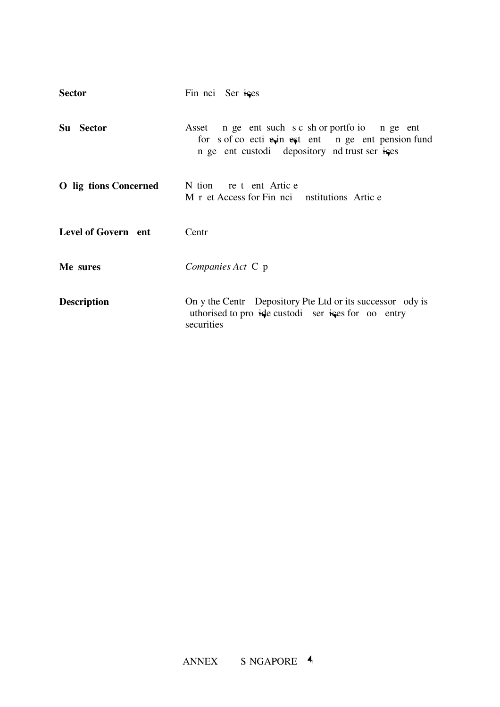| <b>Sector</b>                | Fin noi Ser ises                                                                                                                                          |
|------------------------------|-----------------------------------------------------------------------------------------------------------------------------------------------------------|
| Su Sector                    | Asset n ge ent such s c sh or portfo io n ge ent<br>for s of co ecti exin est ent n ge ent pension fund<br>n ge ent custodi depository nd trust ser is es |
| <b>O</b> lig tions Concerned | N tion re t ent Artic e<br>M r et Access for Fin noi nstitutions Artic e                                                                                  |
| Level of Govern ent          | Centr                                                                                                                                                     |
| Me sures                     | Companies Act C p                                                                                                                                         |
| <b>Description</b>           | On y the Centr Depository Pte Ltd or its successor ody is<br>uthorised to pro ide custodi ser is for oo entry<br>securities                               |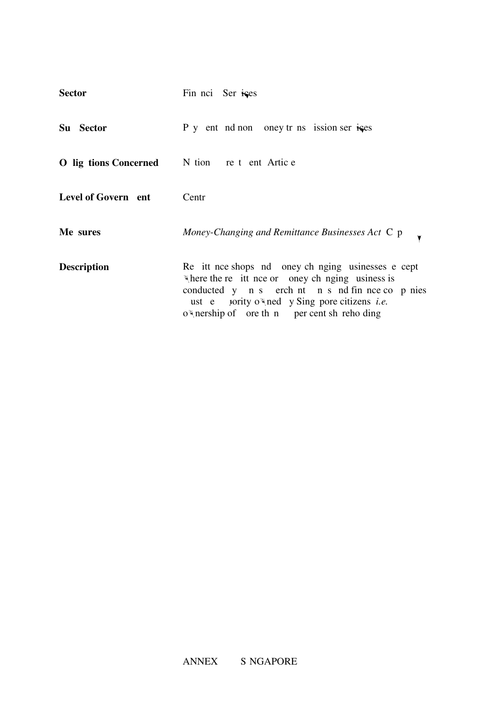| <b>Sector</b>                                        | Fin nci Ser ises                                                                                                                                                                                                                                               |
|------------------------------------------------------|----------------------------------------------------------------------------------------------------------------------------------------------------------------------------------------------------------------------------------------------------------------|
| Su Sector                                            | P y ent nd non oney tr ns ission ser is es                                                                                                                                                                                                                     |
| <b>O</b> lig tions Concerned N tion re t ent Artic e |                                                                                                                                                                                                                                                                |
| Level of Govern ent                                  | Centr                                                                                                                                                                                                                                                          |
| Me sures                                             | Money-Changing and Remittance Businesses Act C p                                                                                                                                                                                                               |
| <b>Description</b>                                   | Re it nce shops nd oney ch nging usinesses e cept<br>where the re it nce or oney ch nging usiness is<br>conducted y n s erch nt n s nd fin nce co p nies<br>ust e porty of ned y Sing pore citizens <i>i.e.</i><br>o nership of ore th n per cent sh reho ding |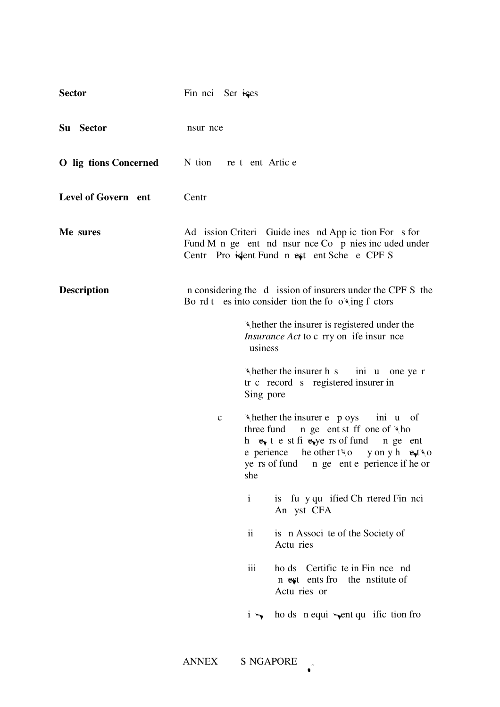| <b>Sector</b>         | Fin nci Ser ises        |                                                                                                                                                                                                                                                                |
|-----------------------|-------------------------|----------------------------------------------------------------------------------------------------------------------------------------------------------------------------------------------------------------------------------------------------------------|
| Su Sector             | nsur nce                |                                                                                                                                                                                                                                                                |
| O lig tions Concerned | N tion re t ent Artic e |                                                                                                                                                                                                                                                                |
| Level of Govern ent   | Centr                   |                                                                                                                                                                                                                                                                |
| Me sures              |                         | Ad ission Criteri Guide ines nd App ic tion For s for<br>Fund M n ge ent nd nsur nce Co p nies inc uded under<br>Centr Pro ident Fund n est ent Sche e CPF S                                                                                                   |
| <b>Description</b>    |                         | n considering the d ission of insurers under the CPF S the<br>Bo rd t es into consider tion the fo $o \times$ ing f ctors                                                                                                                                      |
|                       |                         | whether the insurer is registered under the<br><i>Insurance Act</i> to c rry on ife insur nce<br>usiness                                                                                                                                                       |
|                       |                         | $\forall$ hether the insurer h s ini u one ye r<br>tr c record s registered insurer in<br>Sing pore                                                                                                                                                            |
|                       | $\mathbf c$             | "hether the insurer e p oys ini u of<br>three fund $\Box$ n ge ent st ff one of $\Re$ ho<br>h $e_{\nu}$ t e st fi $e_{\nu}$ ye rs of fund n ge ent<br>e perience he other two y on y h $\mathbf{e}_t$ two<br>ye rs of fund n ge ent e perience if he or<br>she |
|                       |                         | is fu y qu ified Ch rtered Fin nci<br>$\mathbf{i}$<br>An yst CFA                                                                                                                                                                                               |
|                       |                         | $\mathbf{ii}$<br>is n Associ te of the Society of<br>Actu ries                                                                                                                                                                                                 |
|                       |                         | iii<br>ho ds Certific te in Fin nce nd<br>n est ents fro the nstitute of<br>Actu ries or                                                                                                                                                                       |
|                       |                         | ho ds $\pi$ equi $\rightarrow$ ent qu ific tion fro<br>$1 \rightarrow$                                                                                                                                                                                         |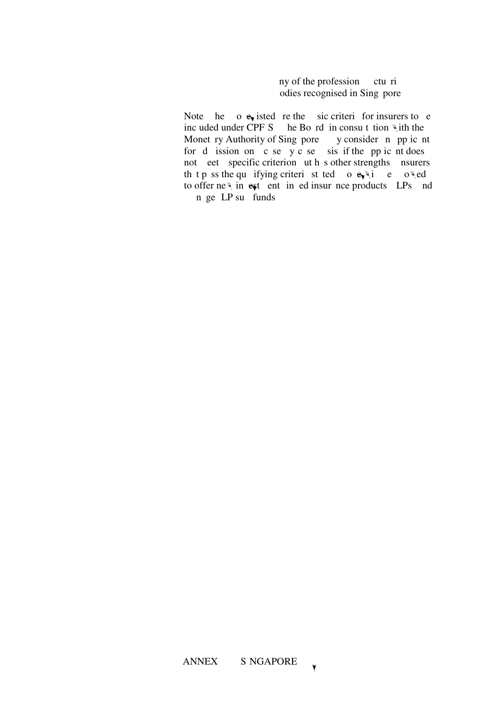ny of the profession ctu ri odies recognised in Sing pore

Note he  $\alpha$  e<sub>v</sub> isted re the sic criteri for insurers to e included under CPF S he Bo rd in consult tion with the Monet ry Authority of Sing pore, y consider n pp ic nt for d ission on  $\overline{c}$  se  $\overline{y}$  c se sis if the pp ic nt does not eet specific criterion ut h s other strengths. Insurers. th t p ss the qualifying criteria st ted  $\alpha$  equipment by  $\alpha$ to offer new investment-in-ed insurance products  $LPs$  and n ge LP su funds.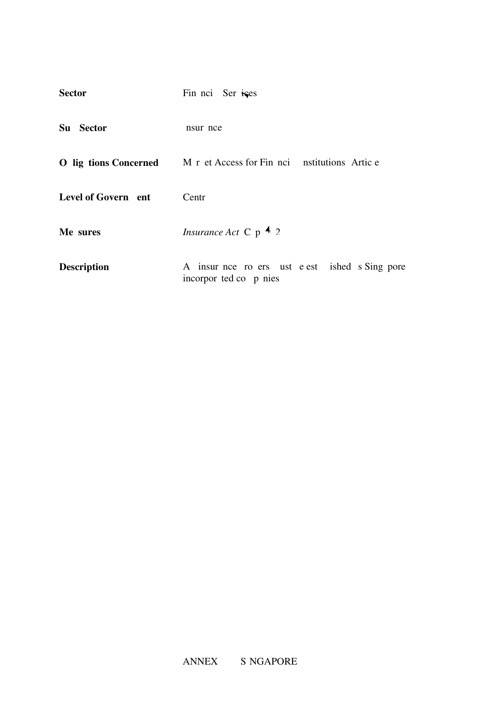| <b>Sector</b>       | Fin nci Ser ises                                                           |
|---------------------|----------------------------------------------------------------------------|
| Su<br><b>Sector</b> | nsur nce                                                                   |
|                     | <b>O</b> lig tions Concerned M r et Access for Fin nci nstitutions Artic e |
| Level of Govern ent | Centr                                                                      |
| Me sures            | <i>Insurance Act</i> C $p$ 4 2                                             |
| <b>Description</b>  | A insur nce ro ers ust e est ished s Sing pore<br>incorpor ted co p nies   |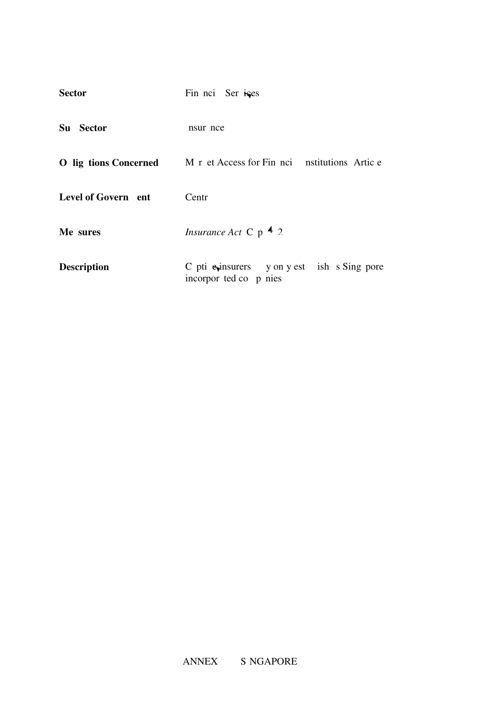| <b>Sector</b>       | Fin nci Ser ises                                                           |
|---------------------|----------------------------------------------------------------------------|
| Su Sector           | nsur nce                                                                   |
|                     | <b>O</b> lig tions Concerned M r et Access for Fin nci nstitutions Artic e |
| Level of Govern ent | Centr                                                                      |
| Me sures            | <i>Insurance Act</i> C $p$ 4 2                                             |
| <b>Description</b>  | C pti exinsurers y on y est ish s Sing pore<br>incorpor ted co p nies      |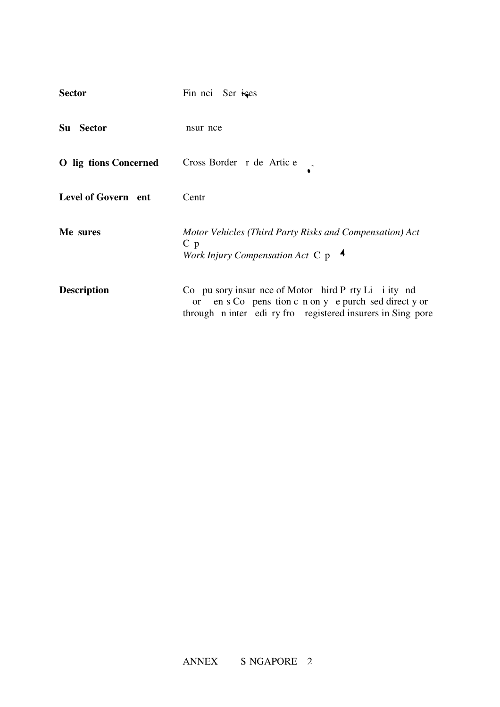| <b>Sector</b>                | Fin noi Ser ises                                                                                                                                                                       |
|------------------------------|----------------------------------------------------------------------------------------------------------------------------------------------------------------------------------------|
| Su Sector                    | nsur nce                                                                                                                                                                               |
| <b>O</b> lig tions Concerned | Cross Border r de Artic e                                                                                                                                                              |
| Level of Govern ent          | Centr                                                                                                                                                                                  |
| Me sures                     | Motor Vehicles (Third Party Risks and Compensation) Act<br>C <sub>p</sub><br>Work Injury Compensation Act $C$ p $\rightarrow$                                                          |
| <b>Description</b>           | Co pu sory insur nce of Motor hird P rty Li i ity nd<br>en s Co pens tion c n on y e purch sed direct y or<br><b>or</b><br>through n inter edi ry fro registered insurers in Sing pore |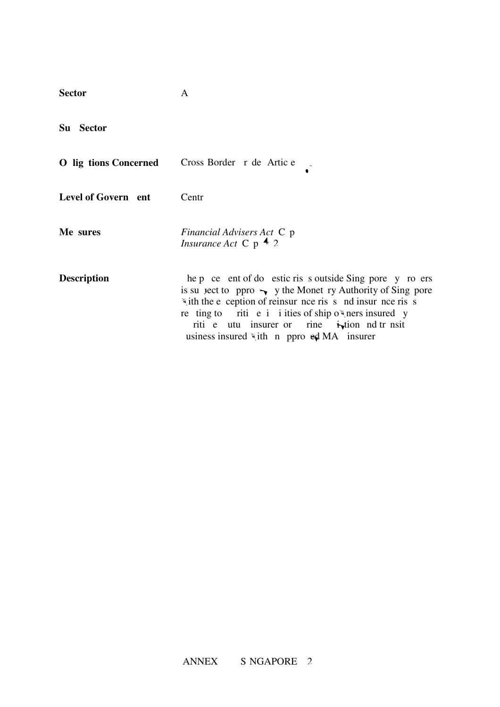| <b>Sector</b>         | A                                                                                                                                                                                                                                                                                                                                                                               |
|-----------------------|---------------------------------------------------------------------------------------------------------------------------------------------------------------------------------------------------------------------------------------------------------------------------------------------------------------------------------------------------------------------------------|
| Su Sector             |                                                                                                                                                                                                                                                                                                                                                                                 |
| O lig tions Concerned | Cross Border r de Artic e                                                                                                                                                                                                                                                                                                                                                       |
| Level of Govern ent   | Centr                                                                                                                                                                                                                                                                                                                                                                           |
| Me sures              | <i>Financial Advisers Act</i> C p<br><i>Insurance Act</i> C $p$ 4 2                                                                                                                                                                                                                                                                                                             |
| <b>Description</b>    | he p ce ent of do estic ris s outside Sing pore y ro ers<br>is su ject to ppro $\rightarrow$ y the Monet ry Authority of Sing pore<br>with the e ception of reinsur nce ris s nd insur nce ris s<br>re ting to riti e i i ities of ship owners insured y<br>riti e utu insurer or rine $\dot{\mathbf{t}}$ tion nd tr nsit<br>usiness insured $\forall$ ith n ppro ed MA insurer |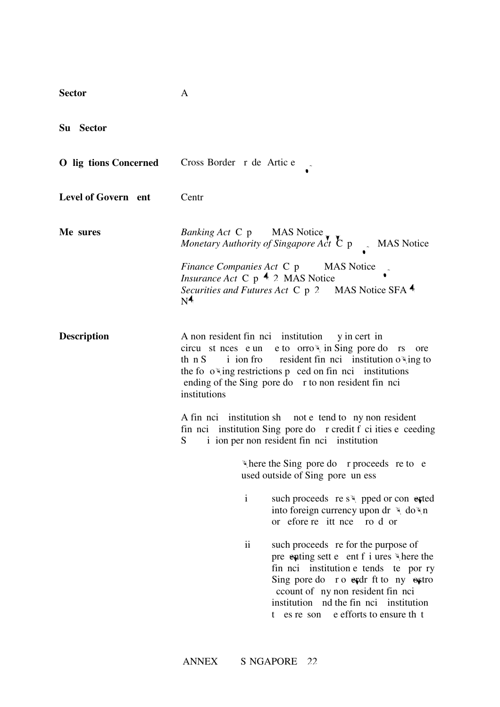| <b>Sector</b>                | A                                                                                                                                                                                                                                                                                                                |
|------------------------------|------------------------------------------------------------------------------------------------------------------------------------------------------------------------------------------------------------------------------------------------------------------------------------------------------------------|
| Su Sector                    |                                                                                                                                                                                                                                                                                                                  |
| <b>O</b> lig tions Concerned | Cross Border r de Artic e                                                                                                                                                                                                                                                                                        |
| Level of Govern ent          | Centr                                                                                                                                                                                                                                                                                                            |
| Me sures                     | Banking Act C p MAS Notice<br>Monetary Authority of Singapore Act $\overline{C}$ p MAS Notice                                                                                                                                                                                                                    |
|                              | <i>Finance Companies Act C p</i> MAS Notice<br><i>Insurance Act</i> C $p$ 4 2 MAS Notice<br>Securities and Futures Act C p 2 MAS Notice SFA 4<br>N <sup>4</sup>                                                                                                                                                  |
| <b>Description</b>           | A non resident fin noi institution y in cert in<br>circu st nees e un e to orro in Sing pore do rs<br>ore<br>the fo $o$ <sup>*</sup> ing restrictions p ced on fin nci institutions<br>ending of the Sing pore do r to non resident fin nci<br>institutions                                                      |
|                              | A fin nci institution sh not e tend to ny non resident<br>fin nci institution Sing pore do r credit f ci ities e ceeding<br>i ion per non resident fin nci institution<br>S.                                                                                                                                     |
|                              | Where the Sing pore do r proceeds re to e<br>used outside of Sing pore un ess                                                                                                                                                                                                                                    |
|                              | $\mathbf{i}$<br>such proceeds re $s \nightharpoonup$ pped or converted<br>into foreign currency upon dr \ do\n<br>or efore re it nce ro d or                                                                                                                                                                     |
|                              | $\mathbf{ii}$<br>such proceeds re for the purpose of<br>pre enting sett e ent f i ures "there the<br>fin noi institution e tends te por ry<br>Sing pore do ro explant for the ny extro<br>ccount of ny non resident fin nci<br>institution nd the fin nci institution<br>e efforts to ensure th t<br>t es re son |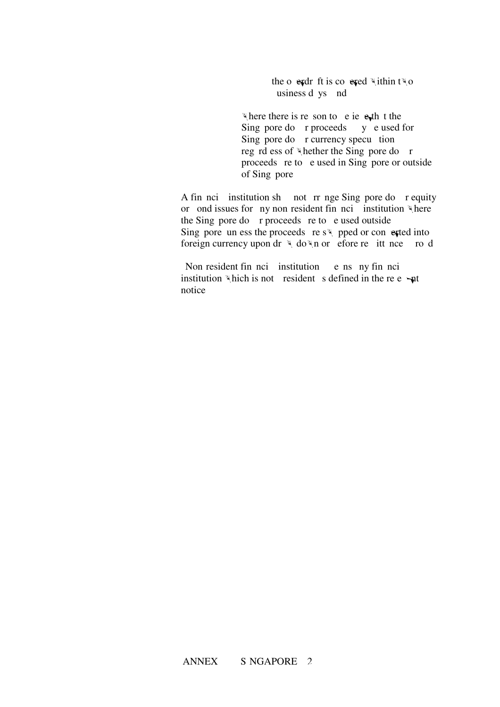the overdraft is covered within  $t \times o$ usiness d ys nd

where there is reson to be iever the the Sing pore do  $r$  proceeds  $y$  e used for Sing pore do r currency specu tion reg rd ess of whether the Sing pore do r proceeds re to  $e$  used in Sing pore or outside of Sing pore

A fin not institution shall not rr nge Singapore do r equity or ond issues for ny non-resident financial institution where the Sing pore do  $r$  proceeds re to e used outside Sing pore, unless the proceeds re swapped or converted into foreign currency upon dr  $\forall$  do  $\nforall$  n or efore remittance about the cond

Non-resident financial institution e ns any financial institution institution which is not resident s defined in the relevant notice.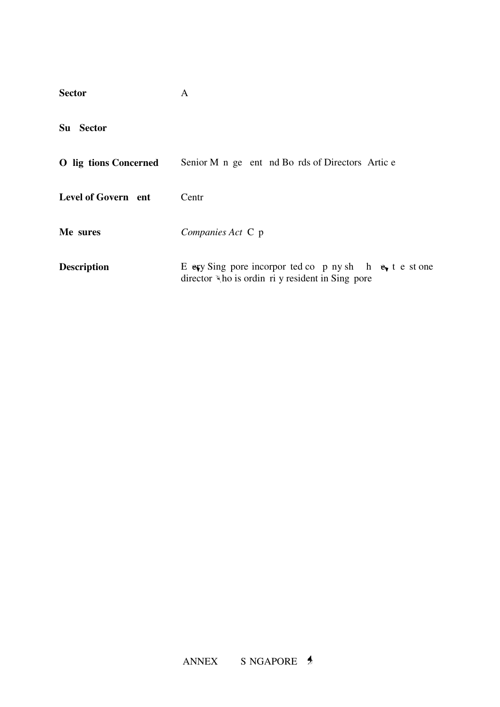| <b>Sector</b>         | A                                                                                                              |
|-----------------------|----------------------------------------------------------------------------------------------------------------|
| Su<br><b>Sector</b>   |                                                                                                                |
| O lig tions Concerned | Senior M n ge ent nd Bo rds of Directors Artic e                                                               |
| Level of Govern ent   | Centr                                                                                                          |
| Me sures              | Companies Act C p                                                                                              |
| <b>Description</b>    | E exy Sing pore incorpor ted co p ny sh h $e_1$ t e st one<br>director "ho is ordin ri y resident in Sing pore |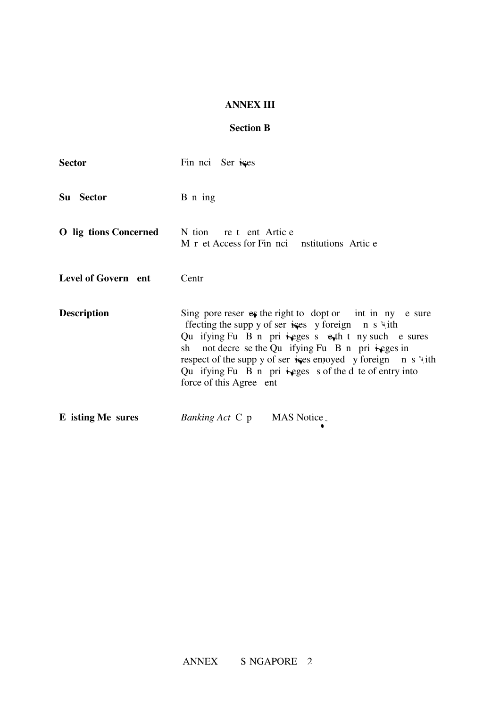# **ANNEX III**

# **Section B**

| <b>Sector</b>                | Fin nci Ser ises                                                                                                                                                                                                                                                                                                                                                                                                                     |
|------------------------------|--------------------------------------------------------------------------------------------------------------------------------------------------------------------------------------------------------------------------------------------------------------------------------------------------------------------------------------------------------------------------------------------------------------------------------------|
| Su Sector                    | B n ing                                                                                                                                                                                                                                                                                                                                                                                                                              |
| <b>O</b> lig tions Concerned | N tion re t ent Artic e<br>M r et Access for Fin noi nstitutions Artic e                                                                                                                                                                                                                                                                                                                                                             |
| Level of Govern ent          | Centr                                                                                                                                                                                                                                                                                                                                                                                                                                |
| <b>Description</b>           | Sing pore reser es the right to dopt or int in ny e sure<br>ffecting the supp y of ser is es y foreign n s $\ddot{\mathbf{v}}$ ith<br>Qu if ying Fu B n pri $i$ eges s $e_i$ th t ny such e sures<br>sh not decre se the Qu if ying Fu B n pri $\dot{E}$ ges in<br>respect of the supp y of ser is get a proved y foreign n s $\forall$ ith<br>Qu if ying Fu B n pri $i$ eges s of the d te of entry into<br>force of this Agree ent |
| E isting Me sures            | <i>Banking Act</i> C p<br>MAS Notice.                                                                                                                                                                                                                                                                                                                                                                                                |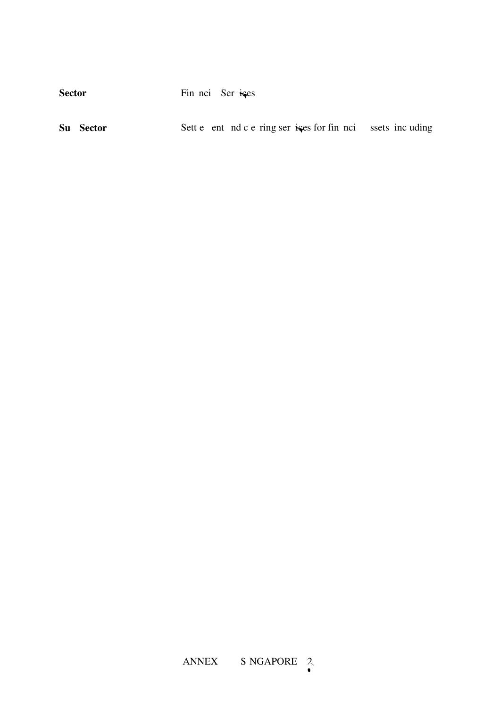Sector Fin nci Ser ises

|  | Su Sector |  |  |  |  |  |  |  |  | Sett e ent nd c e ring ser is for fin nci ssets incuding |  |
|--|-----------|--|--|--|--|--|--|--|--|----------------------------------------------------------|--|
|--|-----------|--|--|--|--|--|--|--|--|----------------------------------------------------------|--|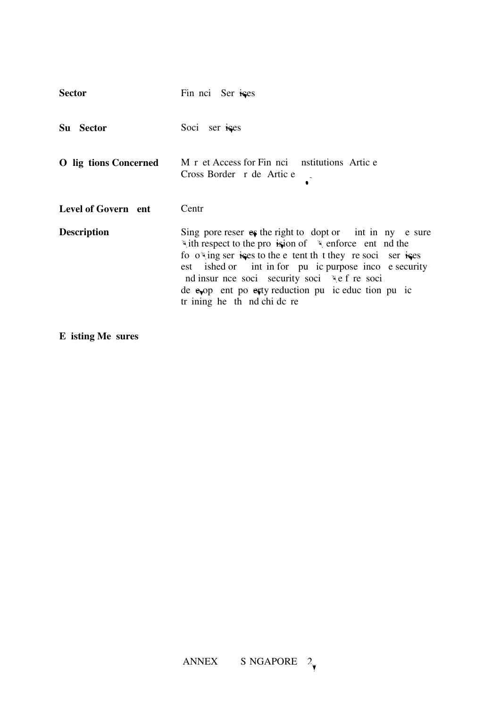| <b>Sector</b>                | Fin noi Ser ises                                                                                                                                                                                                                                                                                                                                                                                      |
|------------------------------|-------------------------------------------------------------------------------------------------------------------------------------------------------------------------------------------------------------------------------------------------------------------------------------------------------------------------------------------------------------------------------------------------------|
| Su Sector                    | Soci ser ises                                                                                                                                                                                                                                                                                                                                                                                         |
| <b>O</b> lig tions Concerned | M r et Access for Fin noi nstitutions Artic e<br>Cross Border r de Artic e                                                                                                                                                                                                                                                                                                                            |
| Level of Govern ent          | Centr                                                                                                                                                                                                                                                                                                                                                                                                 |
| <b>Description</b>           | Sing pore reser es the right to dopt or int in ny e sure<br>with respect to the provision of we enforce ent nd the<br>fo owing ser is set to the e tent the t they resoci ser is set<br>est ished or int in for pu ic purpose inco e security<br>nd insur nce soci security soci \\e f re soci<br>de $e_{\phi}$ op ent po $e_{\phi}$ ty reduction pu ic eduction pu ic<br>tr ining he th nd chi dc re |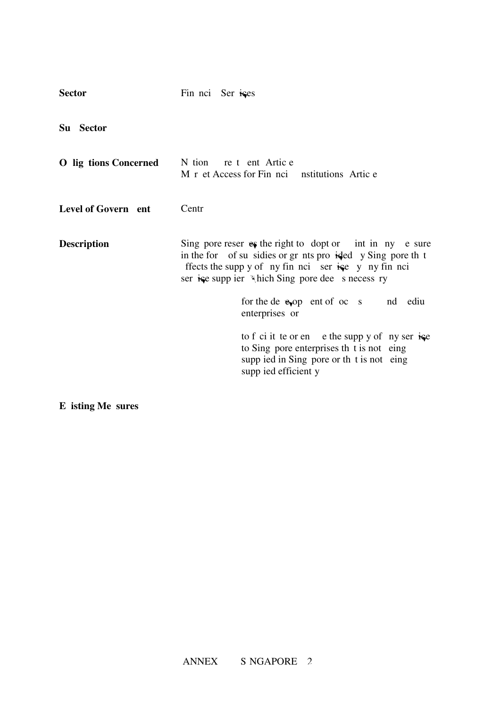| <b>Sector</b>         | Fin noi Ser ises                                                                                                                                                                                                                       |
|-----------------------|----------------------------------------------------------------------------------------------------------------------------------------------------------------------------------------------------------------------------------------|
| Su Sector             |                                                                                                                                                                                                                                        |
| O lig tions Concerned | N tion re t ent Artic e<br>M r et Access for Fin noi nstitutions Artic e                                                                                                                                                               |
| Level of Govern ent   | Centr                                                                                                                                                                                                                                  |
| <b>Description</b>    | Sing pore reser $es$ the right to dopt or int in ny e sure<br>in the for of su sidies or gr nts pro ided y Sing pore th t<br>ffects the supp y of ny fin nci ser is e y ny fin nci<br>ser is esupp ier "hich Sing pore dee s necess ry |
|                       | for the de $e_{\phi}$ op ent of oc s<br>nd ediu<br>enterprises or                                                                                                                                                                      |
|                       | to f ci it te or en e the supp y of ny ser $i$ se<br>to Sing pore enterprises the t is not eing<br>supp ied in Sing pore or th t is not eing<br>supp ied efficient y                                                                   |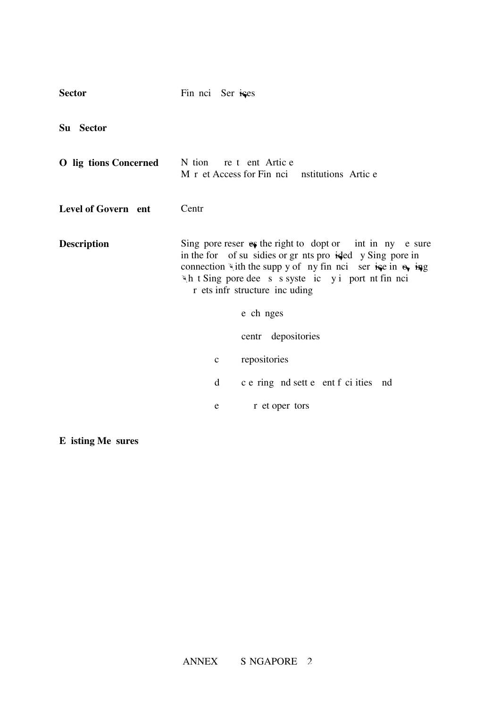| <b>Sector</b>                | Fin nci Ser ises                                                                                                                                                                                                                                                                      |  |  |
|------------------------------|---------------------------------------------------------------------------------------------------------------------------------------------------------------------------------------------------------------------------------------------------------------------------------------|--|--|
| Su Sector                    |                                                                                                                                                                                                                                                                                       |  |  |
| <b>O</b> lig tions Concerned | N tion re t ent Artic e<br>M r et Access for Fin noi nstitutions Artic e                                                                                                                                                                                                              |  |  |
| Level of Govern ent          | Centr                                                                                                                                                                                                                                                                                 |  |  |
| <b>Description</b>           | Sing pore reser $e\$ the right to dopt or int in ny e sure<br>in the for of su sidies or gr nts pro ided y Sing pore in<br>connection with the supp y of ny fin nci ser is ein $\theta$ ing<br>"\h t Sing pore dee s s syste ic y i port nt fin nci<br>r ets infr structure inc uding |  |  |
|                              | e ch nges                                                                                                                                                                                                                                                                             |  |  |
|                              | centr depositories                                                                                                                                                                                                                                                                    |  |  |
|                              | repositories<br>$\mathbf c$                                                                                                                                                                                                                                                           |  |  |
|                              | c e ring nd sett e ent f ci ities nd<br>d                                                                                                                                                                                                                                             |  |  |
|                              | r et oper tors<br>e                                                                                                                                                                                                                                                                   |  |  |